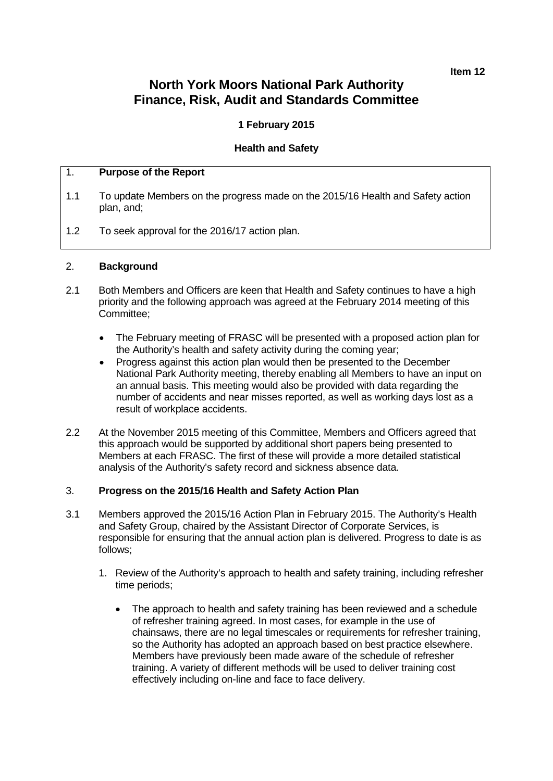**Item 12**

# **North York Moors National Park Authority Finance, Risk, Audit and Standards Committee**

# **1 February 2015**

## **Health and Safety**

#### 1. **Purpose of the Report**

- 1.1 To update Members on the progress made on the 2015/16 Health and Safety action plan, and;
- 1.2 To seek approval for the 2016/17 action plan.

#### 2. **Background**

- 2.1 Both Members and Officers are keen that Health and Safety continues to have a high priority and the following approach was agreed at the February 2014 meeting of this Committee;
	- The February meeting of FRASC will be presented with a proposed action plan for the Authority's health and safety activity during the coming year;
	- Progress against this action plan would then be presented to the December National Park Authority meeting, thereby enabling all Members to have an input on an annual basis. This meeting would also be provided with data regarding the number of accidents and near misses reported, as well as working days lost as a result of workplace accidents.
- 2.2 At the November 2015 meeting of this Committee, Members and Officers agreed that this approach would be supported by additional short papers being presented to Members at each FRASC. The first of these will provide a more detailed statistical analysis of the Authority's safety record and sickness absence data.

#### 3. **Progress on the 2015/16 Health and Safety Action Plan**

- 3.1 Members approved the 2015/16 Action Plan in February 2015. The Authority's Health and Safety Group, chaired by the Assistant Director of Corporate Services, is responsible for ensuring that the annual action plan is delivered. Progress to date is as follows;
	- 1. Review of the Authority's approach to health and safety training, including refresher time periods;
		- The approach to health and safety training has been reviewed and a schedule of refresher training agreed. In most cases, for example in the use of chainsaws, there are no legal timescales or requirements for refresher training, so the Authority has adopted an approach based on best practice elsewhere. Members have previously been made aware of the schedule of refresher training. A variety of different methods will be used to deliver training cost effectively including on-line and face to face delivery.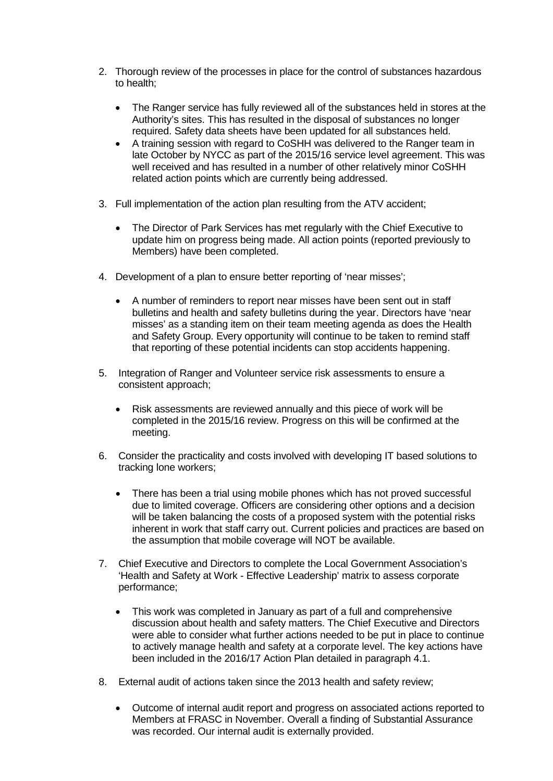- 2. Thorough review of the processes in place for the control of substances hazardous to health;
	- The Ranger service has fully reviewed all of the substances held in stores at the Authority's sites. This has resulted in the disposal of substances no longer required. Safety data sheets have been updated for all substances held.
	- A training session with regard to CoSHH was delivered to the Ranger team in late October by NYCC as part of the 2015/16 service level agreement. This was well received and has resulted in a number of other relatively minor CoSHH related action points which are currently being addressed.
- 3. Full implementation of the action plan resulting from the ATV accident;
	- The Director of Park Services has met regularly with the Chief Executive to update him on progress being made. All action points (reported previously to Members) have been completed.
- 4. Development of a plan to ensure better reporting of 'near misses';
	- A number of reminders to report near misses have been sent out in staff bulletins and health and safety bulletins during the year. Directors have 'near misses' as a standing item on their team meeting agenda as does the Health and Safety Group. Every opportunity will continue to be taken to remind staff that reporting of these potential incidents can stop accidents happening.
- 5. Integration of Ranger and Volunteer service risk assessments to ensure a consistent approach;
	- Risk assessments are reviewed annually and this piece of work will be completed in the 2015/16 review. Progress on this will be confirmed at the meeting.
- 6. Consider the practicality and costs involved with developing IT based solutions to tracking lone workers;
	- There has been a trial using mobile phones which has not proved successful due to limited coverage. Officers are considering other options and a decision will be taken balancing the costs of a proposed system with the potential risks inherent in work that staff carry out. Current policies and practices are based on the assumption that mobile coverage will NOT be available.
- 7. Chief Executive and Directors to complete the Local Government Association's 'Health and Safety at Work - Effective Leadership' matrix to assess corporate performance;
	- This work was completed in January as part of a full and comprehensive discussion about health and safety matters. The Chief Executive and Directors were able to consider what further actions needed to be put in place to continue to actively manage health and safety at a corporate level. The key actions have been included in the 2016/17 Action Plan detailed in paragraph 4.1.
- 8. External audit of actions taken since the 2013 health and safety review;
	- Outcome of internal audit report and progress on associated actions reported to Members at FRASC in November. Overall a finding of Substantial Assurance was recorded. Our internal audit is externally provided.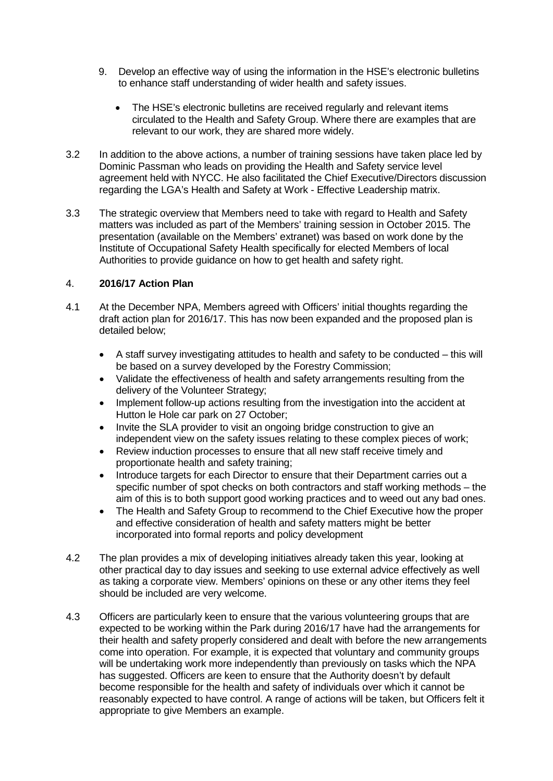- 9. Develop an effective way of using the information in the HSE's electronic bulletins to enhance staff understanding of wider health and safety issues.
	- The HSE's electronic bulletins are received regularly and relevant items circulated to the Health and Safety Group. Where there are examples that are relevant to our work, they are shared more widely.
- 3.2 In addition to the above actions, a number of training sessions have taken place led by Dominic Passman who leads on providing the Health and Safety service level agreement held with NYCC. He also facilitated the Chief Executive/Directors discussion regarding the LGA's Health and Safety at Work - Effective Leadership matrix.
- 3.3 The strategic overview that Members need to take with regard to Health and Safety matters was included as part of the Members' training session in October 2015. The presentation (available on the Members' extranet) was based on work done by the Institute of Occupational Safety Health specifically for elected Members of local Authorities to provide guidance on how to get health and safety right.

# 4. **2016/17 Action Plan**

- 4.1 At the December NPA, Members agreed with Officers' initial thoughts regarding the draft action plan for 2016/17. This has now been expanded and the proposed plan is detailed below;
	- A staff survey investigating attitudes to health and safety to be conducted this will be based on a survey developed by the Forestry Commission;
	- Validate the effectiveness of health and safety arrangements resulting from the delivery of the Volunteer Strategy;
	- Implement follow-up actions resulting from the investigation into the accident at Hutton le Hole car park on 27 October;
	- Invite the SLA provider to visit an ongoing bridge construction to give an independent view on the safety issues relating to these complex pieces of work;
	- Review induction processes to ensure that all new staff receive timely and proportionate health and safety training;
	- Introduce targets for each Director to ensure that their Department carries out a specific number of spot checks on both contractors and staff working methods – the aim of this is to both support good working practices and to weed out any bad ones.
	- The Health and Safety Group to recommend to the Chief Executive how the proper and effective consideration of health and safety matters might be better incorporated into formal reports and policy development
- 4.2 The plan provides a mix of developing initiatives already taken this year, looking at other practical day to day issues and seeking to use external advice effectively as well as taking a corporate view. Members' opinions on these or any other items they feel should be included are very welcome.
- 4.3 Officers are particularly keen to ensure that the various volunteering groups that are expected to be working within the Park during 2016/17 have had the arrangements for their health and safety properly considered and dealt with before the new arrangements come into operation. For example, it is expected that voluntary and community groups will be undertaking work more independently than previously on tasks which the NPA has suggested. Officers are keen to ensure that the Authority doesn't by default become responsible for the health and safety of individuals over which it cannot be reasonably expected to have control. A range of actions will be taken, but Officers felt it appropriate to give Members an example.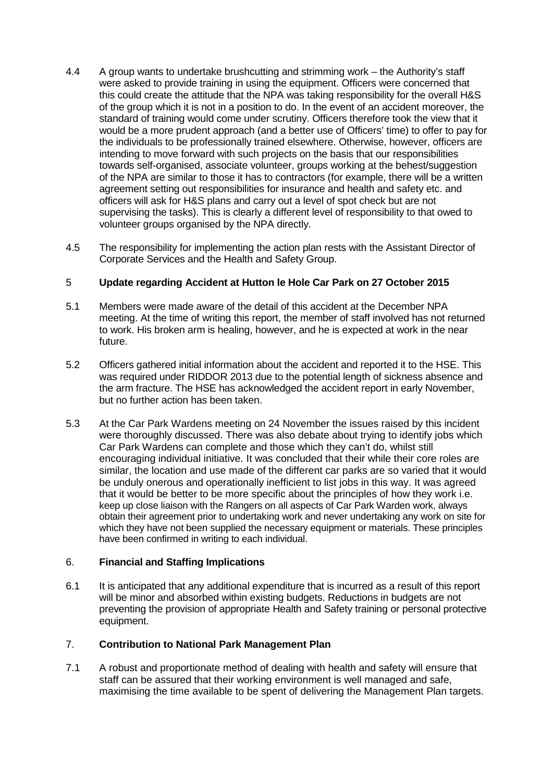- 4.4 A group wants to undertake brushcutting and strimming work the Authority's staff were asked to provide training in using the equipment. Officers were concerned that this could create the attitude that the NPA was taking responsibility for the overall H&S of the group which it is not in a position to do. In the event of an accident moreover, the standard of training would come under scrutiny. Officers therefore took the view that it would be a more prudent approach (and a better use of Officers' time) to offer to pay for the individuals to be professionally trained elsewhere. Otherwise, however, officers are intending to move forward with such projects on the basis that our responsibilities towards self-organised, associate volunteer, groups working at the behest/suggestion of the NPA are similar to those it has to contractors (for example, there will be a written agreement setting out responsibilities for insurance and health and safety etc. and officers will ask for H&S plans and carry out a level of spot check but are not supervising the tasks). This is clearly a different level of responsibility to that owed to volunteer groups organised by the NPA directly.
- 4.5 The responsibility for implementing the action plan rests with the Assistant Director of Corporate Services and the Health and Safety Group.

## 5 **Update regarding Accident at Hutton le Hole Car Park on 27 October 2015**

- 5.1 Members were made aware of the detail of this accident at the December NPA meeting. At the time of writing this report, the member of staff involved has not returned to work. His broken arm is healing, however, and he is expected at work in the near future.
- 5.2 Officers gathered initial information about the accident and reported it to the HSE. This was required under RIDDOR 2013 due to the potential length of sickness absence and the arm fracture. The HSE has acknowledged the accident report in early November, but no further action has been taken.
- 5.3 At the Car Park Wardens meeting on 24 November the issues raised by this incident were thoroughly discussed. There was also debate about trying to identify jobs which Car Park Wardens can complete and those which they can't do, whilst still encouraging individual initiative. It was concluded that their while their core roles are similar, the location and use made of the different car parks are so varied that it would be unduly onerous and operationally inefficient to list jobs in this way. It was agreed that it would be better to be more specific about the principles of how they work i.e. keep up close liaison with the Rangers on all aspects of Car Park Warden work, always obtain their agreement prior to undertaking work and never undertaking any work on site for which they have not been supplied the necessary equipment or materials. These principles have been confirmed in writing to each individual.

## 6. **Financial and Staffing Implications**

6.1 It is anticipated that any additional expenditure that is incurred as a result of this report will be minor and absorbed within existing budgets. Reductions in budgets are not preventing the provision of appropriate Health and Safety training or personal protective equipment.

# 7. **Contribution to National Park Management Plan**

7.1 A robust and proportionate method of dealing with health and safety will ensure that staff can be assured that their working environment is well managed and safe, maximising the time available to be spent of delivering the Management Plan targets.